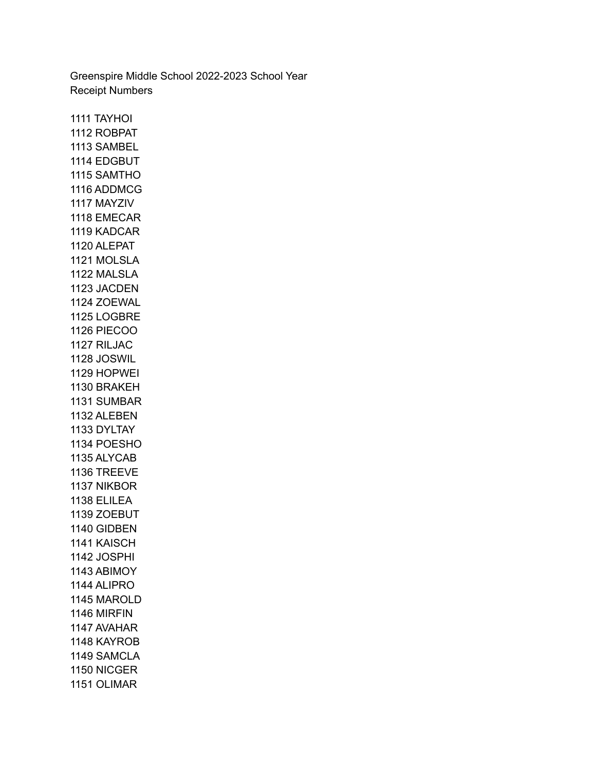Greenspire Middle School 2022-2023 School Year Receipt Numbers

 TAYHOI ROBPAT SAMBEL EDGBUT SAMTHO ADDMCG MAYZIV EMECAR KADCAR ALEPAT MOLSLA MALSLA JACDEN ZOEWAL LOGBRE PIECOO RILJAC JOSWIL HOPWEI BRAKEH SUMBAR ALEBEN DYLTAY POESHO ALYCAB TREEVE NIKBOR ELILEA ZOEBUT GIDBEN KAISCH JOSPHI ABIMOY ALIPRO MAROLD MIRFIN AVAHAR KAYROB SAMCLA NICGER OLIMAR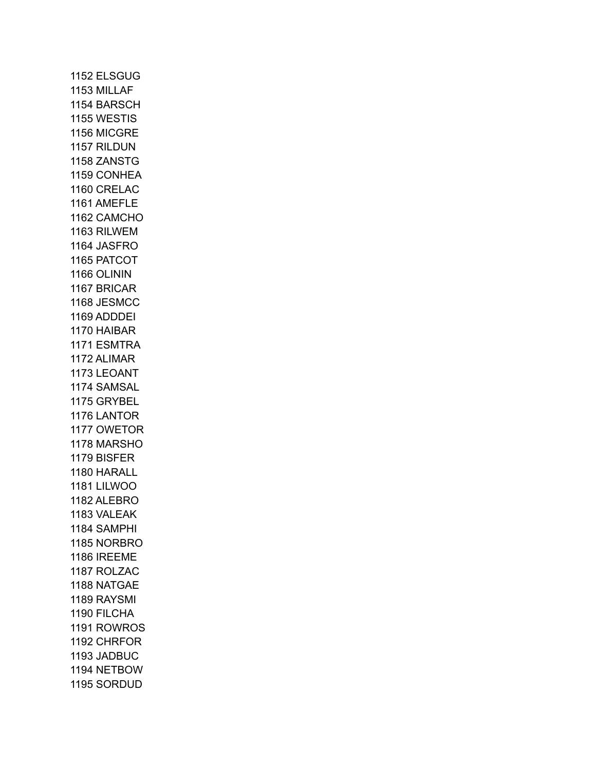ELSGUG MILLAF BARSCH WESTIS MICGRE RILDUN ZANSTG CONHEA CRELAC AMEFLE CAMCHO RILWEM JASFRO PATCOT OLININ BRICAR JESMCC ADDDEI HAIBAR ESMTRA ALIMAR LEOANT SAMSAL GRYBEL LANTOR OWETOR MARSHO BISFER HARALL LILWOO ALEBRO VALEAK SAMPHI NORBRO IREEME ROLZAC NATGAE RAYSMI FILCHA ROWROS CHRFOR JADBUC NETBOW SORDUD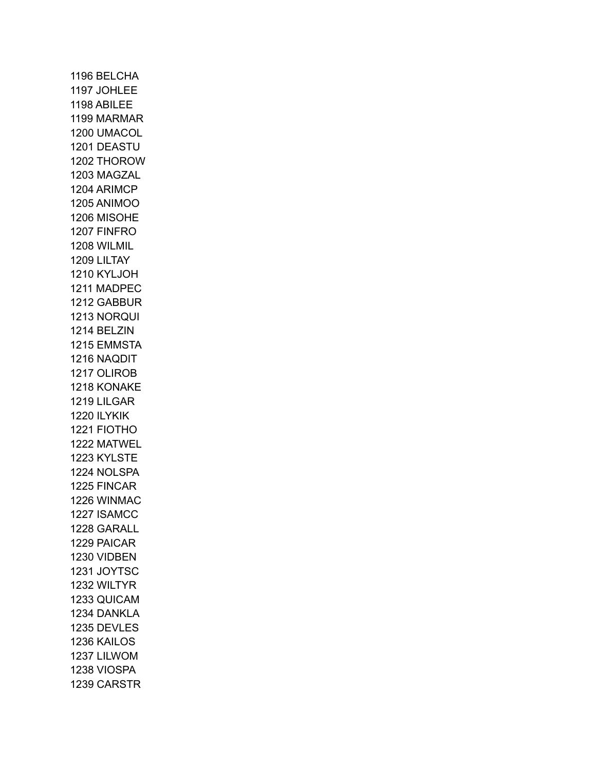BELCHA JOHLEE ABILEE MARMAR UMACOL DEASTU THOROW MAGZAL ARIMCP ANIMOO MISOHE FINFRO WILMIL LILTAY KYLJOH MADPEC GABBUR NORQUI BELZIN EMMSTA NAQDIT OLIROB KONAKE LILGAR ILYKIK FIOTHO MATWEL KYLSTE NOLSPA FINCAR WINMAC ISAMCC GARALL PAICAR VIDBEN JOYTSC WILTYR QUICAM DANKLA DEVLES KAILOS LILWOM VIOSPA CARSTR